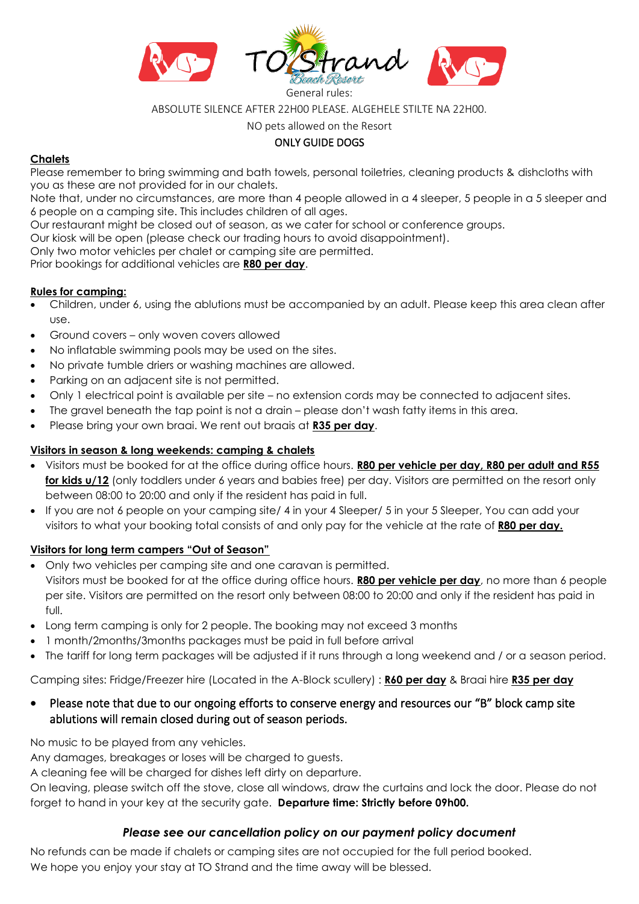

ABSOLUTE SILENCE AFTER 22H00 PLEASE. ALGEHELE STILTE NA 22H00.

NO pets allowed on the Resort

# ONLY GUIDE DOGS

### **Chalets**

Please remember to bring swimming and bath towels, personal toiletries, cleaning products & dishcloths with you as these are not provided for in our chalets.

Note that, under no circumstances, are more than 4 people allowed in a 4 sleeper, 5 people in a 5 sleeper and 6 people on a camping site. This includes children of all ages.

Our restaurant might be closed out of season, as we cater for school or conference groups.

Our kiosk will be open (please check our trading hours to avoid disappointment).

Only two motor vehicles per chalet or camping site are permitted.

Prior bookings for additional vehicles are **R80 per day**.

### **Rules for camping:**

- Children, under 6, using the ablutions must be accompanied by an adult. Please keep this area clean after use.
- Ground covers only woven covers allowed
- No inflatable swimming pools may be used on the sites.
- No private tumble driers or washing machines are allowed.
- Parking on an adjacent site is not permitted.
- Only 1 electrical point is available per site no extension cords may be connected to adjacent sites.
- The gravel beneath the tap point is not a drain please don't wash fatty items in this area.
- Please bring your own braai. We rent out braais at **R35 per day**.

### **Visitors in season & long weekends: camping & chalets**

- Visitors must be booked for at the office during office hours. **R80 per vehicle per day, R80 per adult and R55 for kids u/12** (only toddlers under 6 years and babies free) per day. Visitors are permitted on the resort only between 08:00 to 20:00 and only if the resident has paid in full.
- If you are not 6 people on your camping site/ 4 in your 4 Sleeper/ 5 in your 5 Sleeper, You can add your visitors to what your booking total consists of and only pay for the vehicle at the rate of **R80 per day.**

## **Visitors for long term campers "Out of Season"**

- Only two vehicles per camping site and one caravan is permitted. Visitors must be booked for at the office during office hours. **R80 per vehicle per day**, no more than 6 people per site. Visitors are permitted on the resort only between 08:00 to 20:00 and only if the resident has paid in full.
- Long term camping is only for 2 people. The booking may not exceed 3 months
- 1 month/2months/3months packages must be paid in full before arrival
- The tariff for long term packages will be adjusted if it runs through a long weekend and / or a season period.

Camping sites: Fridge/Freezer hire (Located in the A-Block scullery) : **R60 per day** & Braai hire **R35 per day**

• Please note that due to our ongoing efforts to conserve energy and resources our "B" block camp site ablutions will remain closed during out of season periods.

No music to be played from any vehicles.

Any damages, breakages or loses will be charged to guests.

A cleaning fee will be charged for dishes left dirty on departure.

On leaving, please switch off the stove, close all windows, draw the curtains and lock the door. Please do not forget to hand in your key at the security gate. **Departure time: Strictly before 09h00.** 

## *Please see our cancellation policy on our payment policy document*

No refunds can be made if chalets or camping sites are not occupied for the full period booked. We hope you enjoy your stay at TO Strand and the time away will be blessed.